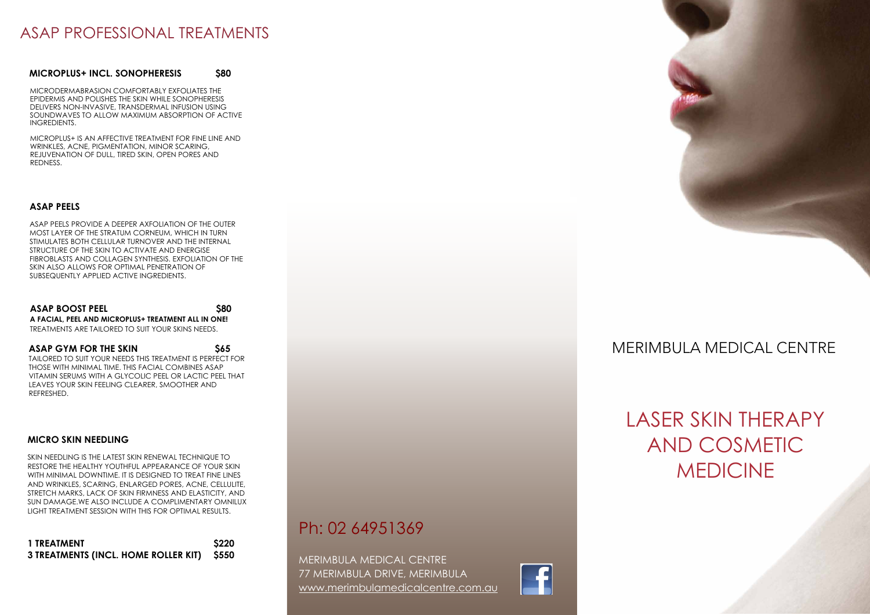# ASAP PROFESSIONAL TREATMENTS

#### **MICROPLUS+ INCL. SONOPHERESIS \$80**

MICRODERMABRASION COMFORTABLY EXFOLIATES THE EPIDERMIS AND POLISHES THE SKIN WHILE SONOPHERESIS DELIVERS NON-INVASIVE, TRANSDERMAL INFUSION USING SOUNDWAVES TO ALLOW MAXIMUM ABSORPTION OF ACTIVE INGREDIENTS.

MICROPLUS+ IS AN AFFECTIVE TREATMENT FOR FINE LINE AND WRINKLES, ACNE, PIGMENTATION, MINOR SCARING, REJUVENATION OF DULL, TIRED SKIN, OPEN PORES AND REDNESS.

#### **ASAP PEELS**

ASAP PEELS PROVIDE A DEEPER AXFOLIATION OF THE OUTER MOST LAYER OF THE STRATUM CORNEUM, WHICH IN TURN STIMULATES BOTH CELLULAR TURNOVER AND THE INTERNAL STRUCTURE OF THE SKIN TO ACTIVATE AND ENERGISE FIBROBLASTS AND COLLAGEN SYNTHESIS. EXFOLIATION OF THE SKIN ALSO ALLOWS FOR OPTIMAL PENETRATION OF SUBSEQUENTLY APPLIED ACTIVE INGREDIENTS.

**ASAP BOOST PEEL** \$80 **A FACIAL, PEEL AND MICROPLUS+ TREATMENT ALL IN ONE!**  TREATMENTS ARE TAILORED TO SUIT YOUR SKINS NEEDS.

**ASAP GYM FOR THE SKIN** \$65 TAILORED TO SUIT YOUR NEEDS THIS TREATMENT IS PERFECT FOR THOSE WITH MINIMAL TIME. THIS FACIAL COMBINES ASAP VITAMIN SERUMS WITH A GLYCOLIC PEEL OR LACTIC PEEL THAT LEAVES YOUR SKIN FEELING CLEARER, SMOOTHER AND REFRESHED.

#### **MICRO SKIN NEEDLING**

SKIN NEEDLING IS THE LATEST SKIN RENEWAL TECHNIQUE TO RESTORE THE HEALTHY YOUTHFUL APPEARANCE OF YOUR SKIN WITH MINIMAL DOWNTIME. IT IS DESIGNED TO TREAT FINE LINES AND WRINKLES, SCARING, ENLARGED PORES, ACNE, CELLULITE, STRETCH MARKS, LACK OF SKIN FIRMNESS AND ELASTICITY, AND SUN DAMAGE.WE ALSO INCLUDE A COMPLIMENTARY OMNILUX LIGHT TREATMENT SESSION WITH THIS FOR OPTIMAL RESULTS.

| 1 TREATMENT                                | <b>S220</b> |
|--------------------------------------------|-------------|
| 3 TREATMENTS (INCL. HOME ROLLER KIT) \$550 |             |

Ph: 02 64951369

MERIMBULA MEDICAL CENTRE 77 MERIMBULA DRIVE, MERIMBULA www.merimbulamedicalcentre.com.au





## MERIMBULA MEDICAL CENTRE

# LASER SKIN THERAPY AND COSMETIC MEDICINE